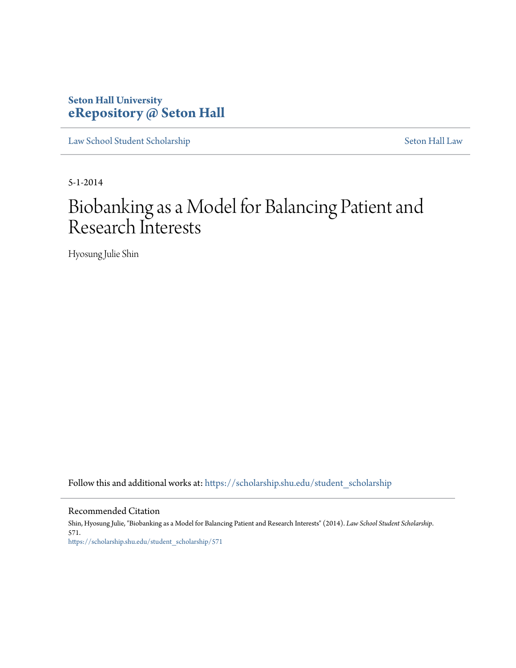# **Seton Hall University [eRepository @ Seton Hall](https://scholarship.shu.edu?utm_source=scholarship.shu.edu%2Fstudent_scholarship%2F571&utm_medium=PDF&utm_campaign=PDFCoverPages)**

[Law School Student Scholarship](https://scholarship.shu.edu/student_scholarship?utm_source=scholarship.shu.edu%2Fstudent_scholarship%2F571&utm_medium=PDF&utm_campaign=PDFCoverPages) [Seton Hall Law](https://scholarship.shu.edu/law?utm_source=scholarship.shu.edu%2Fstudent_scholarship%2F571&utm_medium=PDF&utm_campaign=PDFCoverPages)

5-1-2014

# Biobanking as a Model for Balancing Patient and Research Interests

Hyosung Julie Shin

Follow this and additional works at: [https://scholarship.shu.edu/student\\_scholarship](https://scholarship.shu.edu/student_scholarship?utm_source=scholarship.shu.edu%2Fstudent_scholarship%2F571&utm_medium=PDF&utm_campaign=PDFCoverPages)

#### Recommended Citation

Shin, Hyosung Julie, "Biobanking as a Model for Balancing Patient and Research Interests" (2014). *Law School Student Scholarship*. 571. [https://scholarship.shu.edu/student\\_scholarship/571](https://scholarship.shu.edu/student_scholarship/571?utm_source=scholarship.shu.edu%2Fstudent_scholarship%2F571&utm_medium=PDF&utm_campaign=PDFCoverPages)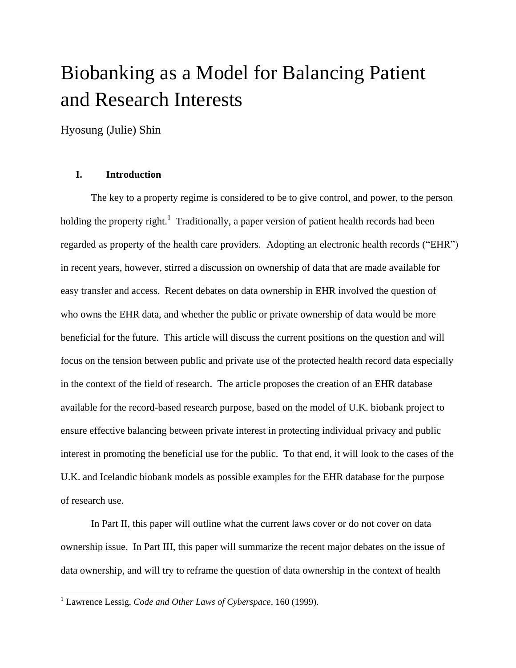# Biobanking as a Model for Balancing Patient and Research Interests

Hyosung (Julie) Shin

# **I. Introduction**

The key to a property regime is considered to be to give control, and power, to the person holding the property right.<sup>1</sup> Traditionally, a paper version of patient health records had been regarded as property of the health care providers. Adopting an electronic health records ("EHR") in recent years, however, stirred a discussion on ownership of data that are made available for easy transfer and access. Recent debates on data ownership in EHR involved the question of who owns the EHR data, and whether the public or private ownership of data would be more beneficial for the future. This article will discuss the current positions on the question and will focus on the tension between public and private use of the protected health record data especially in the context of the field of research. The article proposes the creation of an EHR database available for the record-based research purpose, based on the model of U.K. biobank project to ensure effective balancing between private interest in protecting individual privacy and public interest in promoting the beneficial use for the public. To that end, it will look to the cases of the U.K. and Icelandic biobank models as possible examples for the EHR database for the purpose of research use.

In Part II, this paper will outline what the current laws cover or do not cover on data ownership issue. In Part III, this paper will summarize the recent major debates on the issue of data ownership, and will try to reframe the question of data ownership in the context of health

<sup>1</sup> Lawrence Lessig, *Code and Other Laws of Cyberspace*, 160 (1999).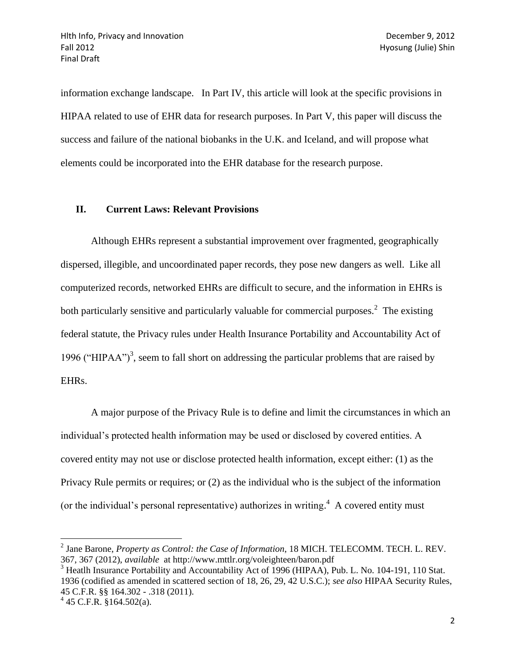information exchange landscape. In Part IV, this article will look at the specific provisions in HIPAA related to use of EHR data for research purposes. In Part V, this paper will discuss the success and failure of the national biobanks in the U.K. and Iceland, and will propose what elements could be incorporated into the EHR database for the research purpose.

#### **II. Current Laws: Relevant Provisions**

Although EHRs represent a substantial improvement over fragmented, geographically dispersed, illegible, and uncoordinated paper records, they pose new dangers as well. Like all computerized records, networked EHRs are difficult to secure, and the information in EHRs is both particularly sensitive and particularly valuable for commercial purposes.<sup>2</sup> The existing federal statute, the Privacy rules under Health Insurance Portability and Accountability Act of 1996 ("HIPAA")<sup>3</sup>, seem to fall short on addressing the particular problems that are raised by EHRs.

A major purpose of the Privacy Rule is to define and limit the circumstances in which an individual's protected health information may be used or disclosed by covered entities. A covered entity may not use or disclose protected health information, except either: (1) as the Privacy Rule permits or requires; or (2) as the individual who is the subject of the information (or the individual's personal representative) authorizes in writing.<sup>4</sup> A covered entity must

 $\overline{a}$ 

<sup>2</sup> Jane Barone, *Property as Control: the Case of Information*, 18 MICH. TELECOMM. TECH. L. REV. 367, 367 (2012), *available* at http://www.mttlr.org/voleighteen/baron.pdf

<sup>&</sup>lt;sup>3</sup> Heatlh Insurance Portability and Accountability Act of 1996 (HIPAA), Pub. L. No. 104-191, 110 Stat. 1936 (codified as amended in scattered section of 18, 26, 29, 42 U.S.C.); *see also* HIPAA Security Rules, 45 C.F.R. §§ 164.302 - .318 (2011).

 $4\,45$  C.F.R. §164.502(a).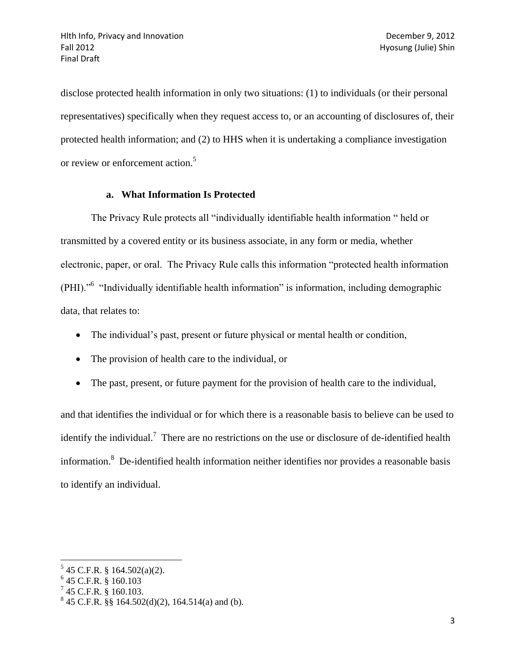disclose protected health information in only two situations: (1) to individuals (or their personal representatives) specifically when they request access to, or an accounting of disclosures of, their protected health information; and (2) to HHS when it is undertaking a compliance investigation or review or enforcement action.<sup>5</sup>

# **a. What Information Is Protected**

The Privacy Rule protects all "individually identifiable health information " held or transmitted by a covered entity or its business associate, in any form or media, whether electronic, paper, or oral. The Privacy Rule calls this information "protected health information (PHI)."<sup>6</sup> "Individually identifiable health information" is information, including demographic data, that relates to:

- The individual's past, present or future physical or mental health or condition,
- The provision of health care to the individual, or
- The past, present, or future payment for the provision of health care to the individual,

and that identifies the individual or for which there is a reasonable basis to believe can be used to identify the individual.<sup>7</sup> There are no restrictions on the use or disclosure of de-identified health information.<sup>8</sup> De-identified health information neither identifies nor provides a reasonable basis to identify an individual.

 5 45 C.F.R. § 164.502(a)(2).

<sup>6</sup> 45 C.F.R. § 160.103

 $^{7}$  45 C.F.R. § 160.103.

 $845$  C.F.R. §§ 164.502(d)(2), 164.514(a) and (b).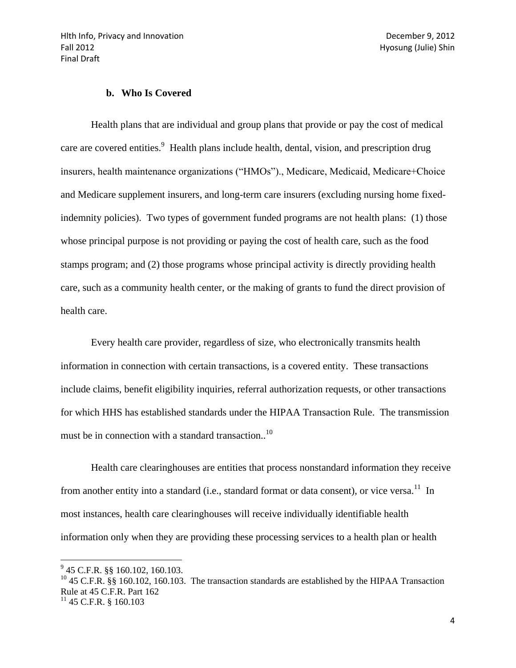#### **b. Who Is Covered**

Health plans that are individual and group plans that provide or pay the cost of medical care are covered entities.<sup>9</sup> Health plans include health, dental, vision, and prescription drug insurers, health maintenance organizations ("HMOs")., Medicare, Medicaid, Medicare+Choice and Medicare supplement insurers, and long-term care insurers (excluding nursing home fixedindemnity policies). Two types of government funded programs are not health plans: (1) those whose principal purpose is not providing or paying the cost of health care, such as the food stamps program; and (2) those programs whose principal activity is directly providing health care, such as a community health center, or the making of grants to fund the direct provision of health care.

Every health care provider, regardless of size, who electronically transmits health information in connection with certain transactions, is a covered entity. These transactions include claims, benefit eligibility inquiries, referral authorization requests, or other transactions for which HHS has established standards under the HIPAA Transaction Rule. The transmission must be in connection with a standard transaction..<sup>10</sup>

Health care clearinghouses are entities that process nonstandard information they receive from another entity into a standard (i.e., standard format or data consent), or vice versa.<sup>11</sup> In most instances, health care clearinghouses will receive individually identifiable health information only when they are providing these processing services to a health plan or health

 $9^9$  45 C.F.R. §§ 160.102, 160.103.

<sup>&</sup>lt;sup>10</sup> 45 C.F.R. §§ 160.102, 160.103. The transaction standards are established by the HIPAA Transaction Rule at 45 C.F.R. Part 162

 $11$  45 C.F.R. § 160.103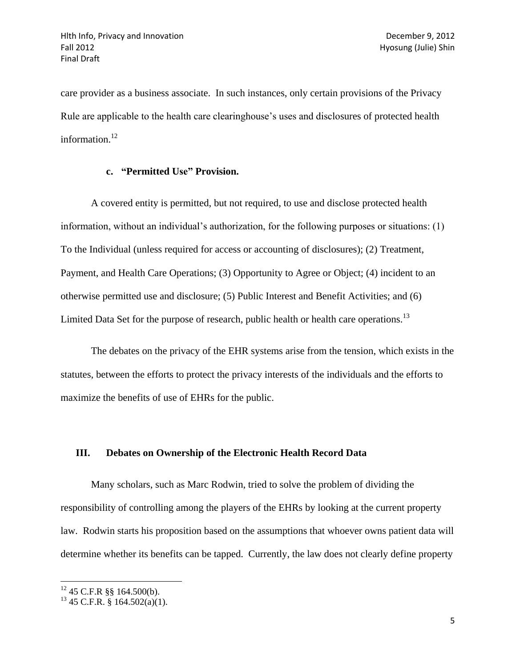care provider as a business associate. In such instances, only certain provisions of the Privacy Rule are applicable to the health care clearinghouse's uses and disclosures of protected health information.<sup>12</sup>

#### **c. "Permitted Use" Provision.**

A covered entity is permitted, but not required, to use and disclose protected health information, without an individual's authorization, for the following purposes or situations: (1) To the Individual (unless required for access or accounting of disclosures); (2) Treatment, Payment, and Health Care Operations; (3) Opportunity to Agree or Object; (4) incident to an otherwise permitted use and disclosure; (5) Public Interest and Benefit Activities; and (6) Limited Data Set for the purpose of research, public health or health care operations.<sup>13</sup>

The debates on the privacy of the EHR systems arise from the tension, which exists in the statutes, between the efforts to protect the privacy interests of the individuals and the efforts to maximize the benefits of use of EHRs for the public.

#### **III. Debates on Ownership of the Electronic Health Record Data**

Many scholars, such as Marc Rodwin, tried to solve the problem of dividing the responsibility of controlling among the players of the EHRs by looking at the current property law. Rodwin starts his proposition based on the assumptions that whoever owns patient data will determine whether its benefits can be tapped. Currently, the law does not clearly define property

 $\overline{a}$ 

 $12$  45 C.F.R §§ 164.500(b).

 $13$  45 C.F.R. § 164.502(a)(1).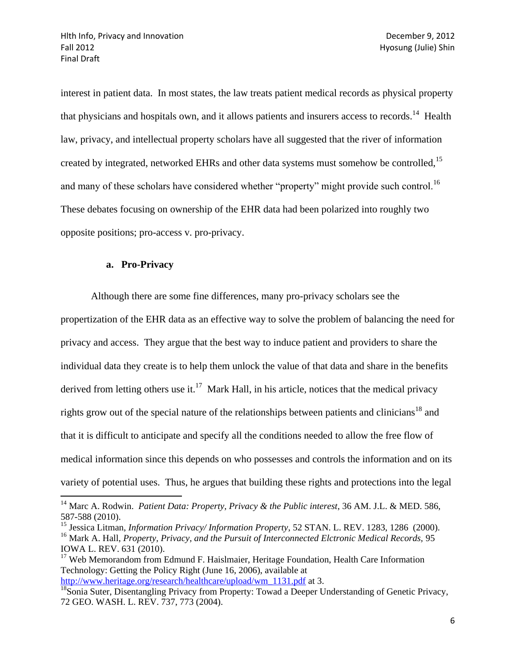interest in patient data. In most states, the law treats patient medical records as physical property that physicians and hospitals own, and it allows patients and insurers access to records.<sup>14</sup> Health law, privacy, and intellectual property scholars have all suggested that the river of information created by integrated, networked EHRs and other data systems must somehow be controlled,<sup>15</sup> and many of these scholars have considered whether "property" might provide such control.<sup>16</sup> These debates focusing on ownership of the EHR data had been polarized into roughly two opposite positions; pro-access v. pro-privacy.

## **a. Pro-Privacy**

 $\overline{a}$ 

Although there are some fine differences, many pro-privacy scholars see the propertization of the EHR data as an effective way to solve the problem of balancing the need for privacy and access. They argue that the best way to induce patient and providers to share the individual data they create is to help them unlock the value of that data and share in the benefits derived from letting others use it.<sup>17</sup> Mark Hall, in his article, notices that the medical privacy rights grow out of the special nature of the relationships between patients and clinicians<sup>18</sup> and that it is difficult to anticipate and specify all the conditions needed to allow the free flow of medical information since this depends on who possesses and controls the information and on its variety of potential uses. Thus, he argues that building these rights and protections into the legal

<sup>&</sup>lt;sup>14</sup> Marc A. Rodwin. *Patient Data: Property, Privacy & the Public interest*, 36 AM. J.L. & MED. 586, 587-588 (2010).

<sup>&</sup>lt;sup>15</sup> Jessica Litman, *Information Privacy/Information Property*, 52 STAN, L. REV. 1283, 1286 (2000). <sup>16</sup> Mark A. Hall, *Property, Privacy, and the Pursuit of Interconnected Elctronic Medical Records, 95* IOWA L. REV. 631 (2010).

<sup>&</sup>lt;sup>17</sup> Web Memorandom from Edmund F. Haislmaier, Heritage Foundation, Health Care Information Technology: Getting the Policy Right (June 16, 2006), available at [http://www.heritage.org/research/healthcare/upload/wm\\_1131.pdf](http://www.heritage.org/research/healthcare/upload/wm_1131.pdf) at 3.

<sup>&</sup>lt;sup>18</sup>Sonia Suter, Disentangling Privacy from Property: Towad a Deeper Understanding of Genetic Privacy, 72 GEO. WASH. L. REV. 737, 773 (2004).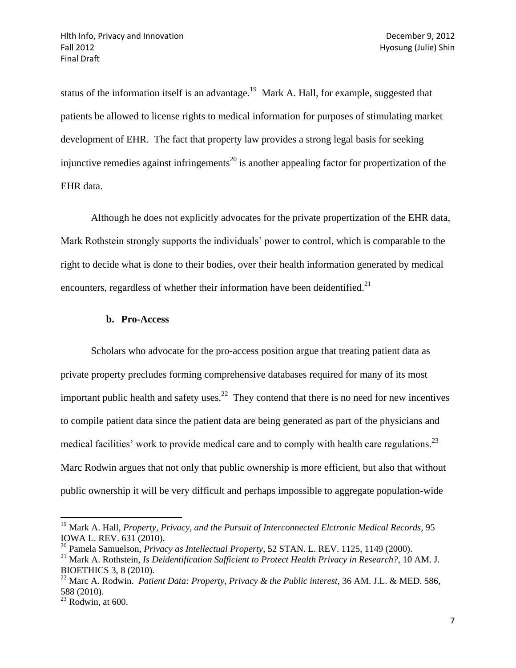status of the information itself is an advantage.<sup>19</sup> Mark A. Hall, for example, suggested that patients be allowed to license rights to medical information for purposes of stimulating market development of EHR. The fact that property law provides a strong legal basis for seeking injunctive remedies against infringements<sup>20</sup> is another appealing factor for propertization of the EHR data.

Although he does not explicitly advocates for the private propertization of the EHR data, Mark Rothstein strongly supports the individuals' power to control, which is comparable to the right to decide what is done to their bodies, over their health information generated by medical encounters, regardless of whether their information have been deidentified.<sup>21</sup>

#### **b. Pro-Access**

Scholars who advocate for the pro-access position argue that treating patient data as private property precludes forming comprehensive databases required for many of its most important public health and safety uses.<sup>22</sup> They contend that there is no need for new incentives to compile patient data since the patient data are being generated as part of the physicians and medical facilities' work to provide medical care and to comply with health care regulations.<sup>23</sup> Marc Rodwin argues that not only that public ownership is more efficient, but also that without public ownership it will be very difficult and perhaps impossible to aggregate population-wide

<sup>&</sup>lt;sup>19</sup> Mark A. Hall, *Property, Privacy, and the Pursuit of Interconnected Elctronic Medical Records, 95* IOWA L. REV. 631 (2010).

<sup>20</sup> Pamela Samuelson, *Privacy as Intellectual Property*, 52 STAN. L. REV. 1125, 1149 (2000).

<sup>21</sup> Mark A. Rothstein, *Is Deidentification Sufficient to Protect Health Privacy in Research?*, 10 AM. J. BIOETHICS 3, 8 (2010).

<sup>22</sup> Marc A. Rodwin. *Patient Data: Property, Privacy & the Public interest*, 36 AM. J.L. & MED. 586, 588 (2010).

 $23$  Rodwin, at 600.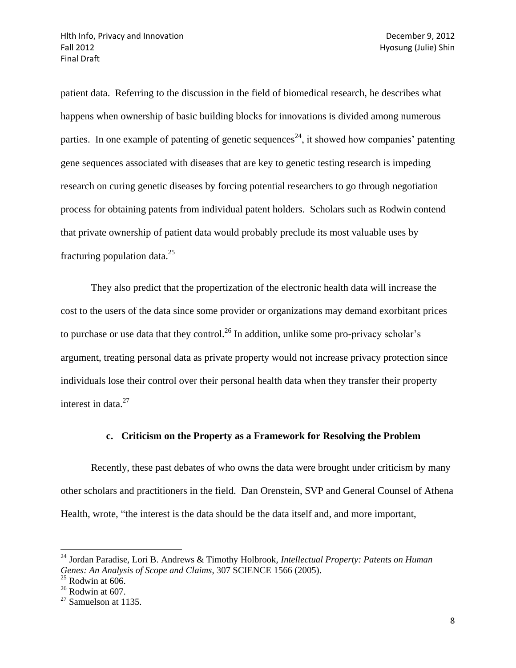patient data. Referring to the discussion in the field of biomedical research, he describes what happens when ownership of basic building blocks for innovations is divided among numerous parties. In one example of patenting of genetic sequences<sup>24</sup>, it showed how companies' patenting gene sequences associated with diseases that are key to genetic testing research is impeding research on curing genetic diseases by forcing potential researchers to go through negotiation process for obtaining patents from individual patent holders. Scholars such as Rodwin contend that private ownership of patient data would probably preclude its most valuable uses by fracturing population data. $^{25}$ 

They also predict that the propertization of the electronic health data will increase the cost to the users of the data since some provider or organizations may demand exorbitant prices to purchase or use data that they control.<sup>26</sup> In addition, unlike some pro-privacy scholar's argument, treating personal data as private property would not increase privacy protection since individuals lose their control over their personal health data when they transfer their property interest in data. $27$ 

#### **c. Criticism on the Property as a Framework for Resolving the Problem**

Recently, these past debates of who owns the data were brought under criticism by many other scholars and practitioners in the field. Dan Orenstein, SVP and General Counsel of Athena Health, wrote, "the interest is the data should be the data itself and, and more important,

<sup>24</sup> Jordan Paradise, Lori B. Andrews & Timothy Holbrook, *Intellectual Property: Patents on Human Genes: An Analysis of Scope and Claims*, 307 SCIENCE 1566 (2005).

 $25$  Rodwin at 606.

 $26$  Rodwin at 607.

 $27$  Samuelson at 1135.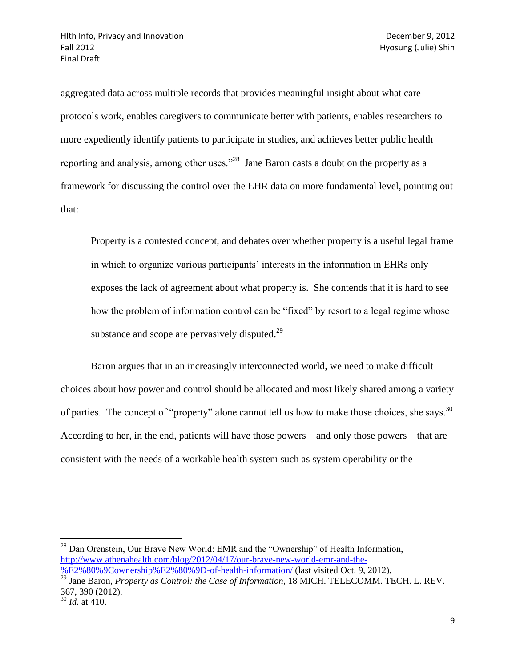aggregated data across multiple records that provides meaningful insight about what care protocols work, enables caregivers to communicate better with patients, enables researchers to more expediently identify patients to participate in studies, and achieves better public health reporting and analysis, among other uses."<sup>28</sup> Jane Baron casts a doubt on the property as a framework for discussing the control over the EHR data on more fundamental level, pointing out that:

Property is a contested concept, and debates over whether property is a useful legal frame in which to organize various participants' interests in the information in EHRs only exposes the lack of agreement about what property is. She contends that it is hard to see how the problem of information control can be "fixed" by resort to a legal regime whose substance and scope are pervasively disputed. $^{29}$ 

Baron argues that in an increasingly interconnected world, we need to make difficult choices about how power and control should be allocated and most likely shared among a variety of parties. The concept of "property" alone cannot tell us how to make those choices, she says.  $30$ According to her, in the end, patients will have those powers – and only those powers – that are consistent with the needs of a workable health system such as system operability or the

 $\overline{a}$  $^{28}$  Dan Orenstein, Our Brave New World: EMR and the "Ownership" of Health Information, [http://www.athenahealth.com/blog/2012/04/17/our-brave-new-world-emr-and-the-](http://www.athenahealth.com/blog/2012/04/17/our-brave-new-world-emr-and-the-%E2%80%9Cownership%E2%80%9D-of-health-information/)

[<sup>%</sup>E2%80%9Cownership%E2%80%9D-of-health-information/](http://www.athenahealth.com/blog/2012/04/17/our-brave-new-world-emr-and-the-%E2%80%9Cownership%E2%80%9D-of-health-information/) (last visited Oct. 9, 2012).

<sup>&</sup>lt;sup>29</sup> Jane Baron, *Property as Control: the Case of Information*, 18 MICH. TELECOMM. TECH. L. REV. 367, 390 (2012).

<sup>30</sup> *Id.* at 410.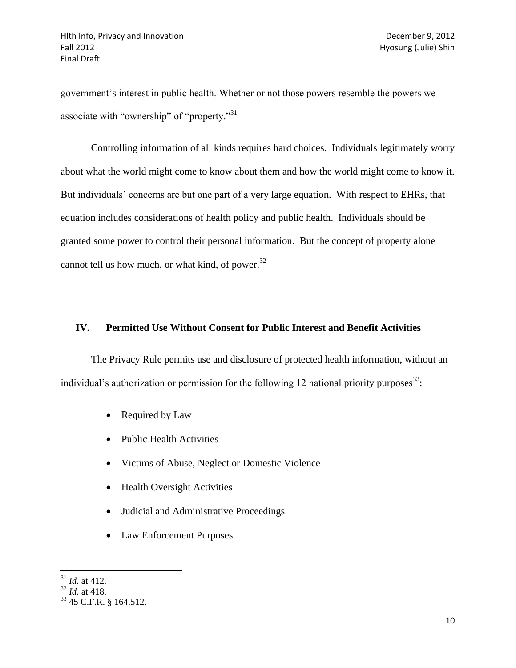government's interest in public health. Whether or not those powers resemble the powers we associate with "ownership" of "property."<sup>31</sup>

Controlling information of all kinds requires hard choices. Individuals legitimately worry about what the world might come to know about them and how the world might come to know it. But individuals' concerns are but one part of a very large equation. With respect to EHRs, that equation includes considerations of health policy and public health. Individuals should be granted some power to control their personal information. But the concept of property alone cannot tell us how much, or what kind, of power.<sup>32</sup>

# **IV. Permitted Use Without Consent for Public Interest and Benefit Activities**

The Privacy Rule permits use and disclosure of protected health information, without an individual's authorization or permission for the following 12 national priority purposes<sup>33</sup>:

- Required by Law
- Public Health Activities
- Victims of Abuse, Neglect or Domestic Violence
- Health Oversight Activities
- Judicial and Administrative Proceedings
- Law Enforcement Purposes

 $\overline{\phantom{a}}$ <sup>31</sup> *Id*. at 412.

<sup>32</sup> *Id*. at 418.

<sup>33</sup> 45 C.F.R. § 164.512.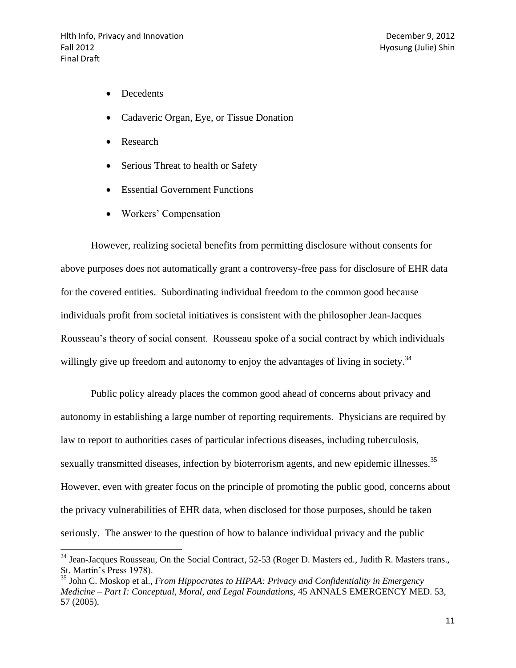- Decedents
- Cadaveric Organ, Eye, or Tissue Donation
- Research

 $\overline{\phantom{a}}$ 

- Serious Threat to health or Safety
- Essential Government Functions
- Workers' Compensation

However, realizing societal benefits from permitting disclosure without consents for above purposes does not automatically grant a controversy-free pass for disclosure of EHR data for the covered entities. Subordinating individual freedom to the common good because individuals profit from societal initiatives is consistent with the philosopher Jean-Jacques Rousseau's theory of social consent. Rousseau spoke of a social contract by which individuals willingly give up freedom and autonomy to enjoy the advantages of living in society.<sup>34</sup>

Public policy already places the common good ahead of concerns about privacy and autonomy in establishing a large number of reporting requirements. Physicians are required by law to report to authorities cases of particular infectious diseases, including tuberculosis, sexually transmitted diseases, infection by bioterrorism agents, and new epidemic illnesses.<sup>35</sup> However, even with greater focus on the principle of promoting the public good, concerns about the privacy vulnerabilities of EHR data, when disclosed for those purposes, should be taken seriously. The answer to the question of how to balance individual privacy and the public

<sup>&</sup>lt;sup>34</sup> Jean-Jacques Rousseau, On the Social Contract, 52-53 (Roger D. Masters ed., Judith R. Masters trans., St. Martin's Press 1978).

<sup>35</sup> John C. Moskop et al., *From Hippocrates to HIPAA: Privacy and Confidentiality in Emergency Medicine – Part I: Conceptual, Moral, and Legal Foundations,* 45 ANNALS EMERGENCY MED. 53, 57 (2005).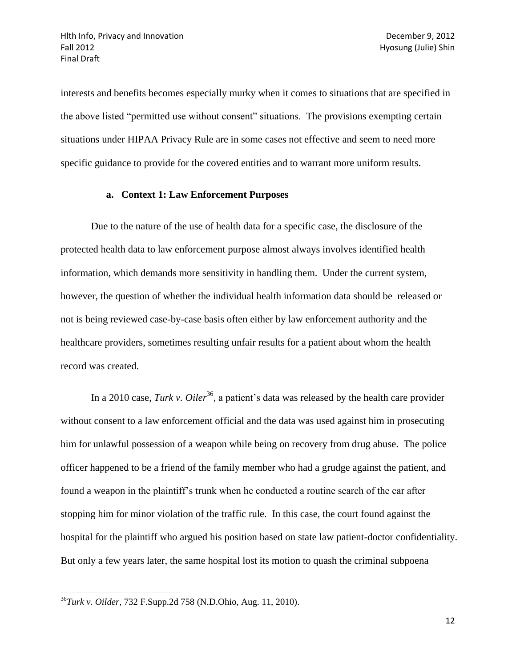interests and benefits becomes especially murky when it comes to situations that are specified in the above listed "permitted use without consent" situations. The provisions exempting certain situations under HIPAA Privacy Rule are in some cases not effective and seem to need more specific guidance to provide for the covered entities and to warrant more uniform results.

### **a. Context 1: Law Enforcement Purposes**

Due to the nature of the use of health data for a specific case, the disclosure of the protected health data to law enforcement purpose almost always involves identified health information, which demands more sensitivity in handling them. Under the current system, however, the question of whether the individual health information data should be released or not is being reviewed case-by-case basis often either by law enforcement authority and the healthcare providers, sometimes resulting unfair results for a patient about whom the health record was created.

In a 2010 case, *Turk v. Oiler*<sup>36</sup>, a patient's data was released by the health care provider without consent to a law enforcement official and the data was used against him in prosecuting him for unlawful possession of a weapon while being on recovery from drug abuse. The police officer happened to be a friend of the family member who had a grudge against the patient, and found a weapon in the plaintiff's trunk when he conducted a routine search of the car after stopping him for minor violation of the traffic rule. In this case, the court found against the hospital for the plaintiff who argued his position based on state law patient-doctor confidentiality. But only a few years later, the same hospital lost its motion to quash the criminal subpoena

<sup>36</sup>*Turk v. Oilder,* 732 F.Supp.2d 758 (N.D.Ohio, Aug. 11, 2010).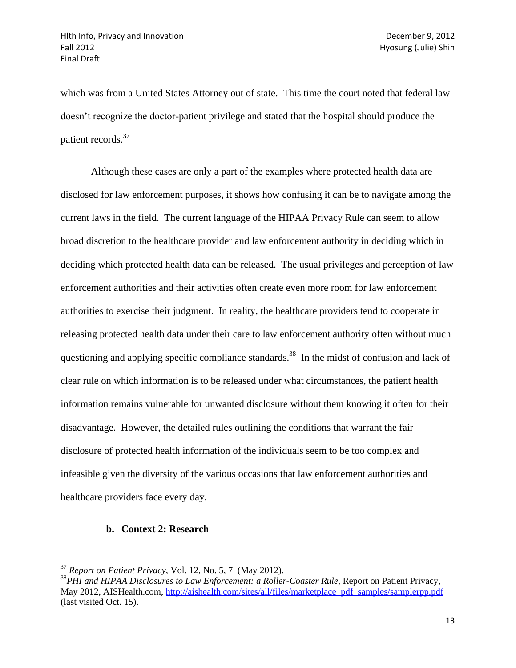which was from a United States Attorney out of state. This time the court noted that federal law doesn't recognize the doctor-patient privilege and stated that the hospital should produce the patient records.<sup>37</sup>

Although these cases are only a part of the examples where protected health data are disclosed for law enforcement purposes, it shows how confusing it can be to navigate among the current laws in the field. The current language of the HIPAA Privacy Rule can seem to allow broad discretion to the healthcare provider and law enforcement authority in deciding which in deciding which protected health data can be released. The usual privileges and perception of law enforcement authorities and their activities often create even more room for law enforcement authorities to exercise their judgment. In reality, the healthcare providers tend to cooperate in releasing protected health data under their care to law enforcement authority often without much questioning and applying specific compliance standards.<sup>38</sup> In the midst of confusion and lack of clear rule on which information is to be released under what circumstances, the patient health information remains vulnerable for unwanted disclosure without them knowing it often for their disadvantage. However, the detailed rules outlining the conditions that warrant the fair disclosure of protected health information of the individuals seem to be too complex and infeasible given the diversity of the various occasions that law enforcement authorities and healthcare providers face every day.

#### **b. Context 2: Research**

<sup>37</sup> *Report on Patient Privacy*, Vol. 12, No. 5, 7 (May 2012).

<sup>&</sup>lt;sup>38</sup>PHI and HIPAA Disclosures to Law Enforcement: a Roller-Coaster Rule, Report on Patient Privacy, May 2012, AISHealth.com, [http://aishealth.com/sites/all/files/marketplace\\_pdf\\_samples/samplerpp.pdf](http://aishealth.com/sites/all/files/marketplace_pdf_samples/samplerpp.pdf) (last visited Oct. 15).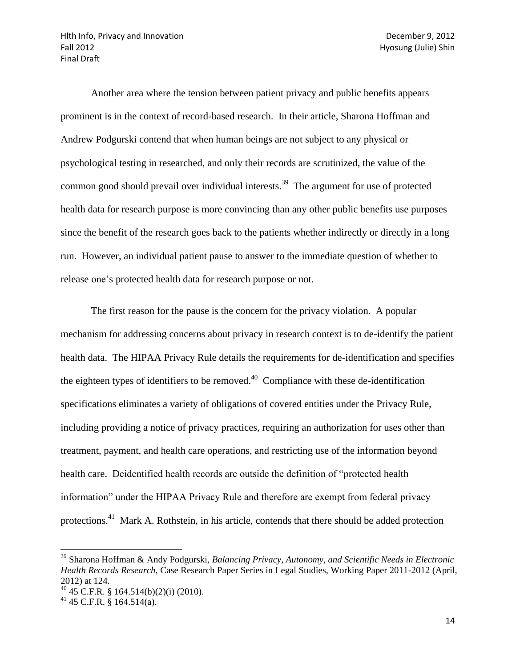Hith Info, Privacy and Innovation December 9, 2012 Fall 2012 Hyosung (Julie) Shin Final Draft

Another area where the tension between patient privacy and public benefits appears prominent is in the context of record-based research. In their article, Sharona Hoffman and Andrew Podgurski contend that when human beings are not subject to any physical or psychological testing in researched, and only their records are scrutinized, the value of the common good should prevail over individual interests.<sup>39</sup> The argument for use of protected health data for research purpose is more convincing than any other public benefits use purposes since the benefit of the research goes back to the patients whether indirectly or directly in a long run. However, an individual patient pause to answer to the immediate question of whether to release one's protected health data for research purpose or not.

The first reason for the pause is the concern for the privacy violation. A popular mechanism for addressing concerns about privacy in research context is to de-identify the patient health data. The HIPAA Privacy Rule details the requirements for de-identification and specifies the eighteen types of identifiers to be removed.<sup>40</sup> Compliance with these de-identification specifications eliminates a variety of obligations of covered entities under the Privacy Rule, including providing a notice of privacy practices, requiring an authorization for uses other than treatment, payment, and health care operations, and restricting use of the information beyond health care. Deidentified health records are outside the definition of "protected health information" under the HIPAA Privacy Rule and therefore are exempt from federal privacy protections.<sup>41</sup> Mark A. Rothstein, in his article, contends that there should be added protection

<sup>39</sup> Sharona Hoffman & Andy Podgurski, *Balancing Privacy, Autonomy, and Scientific Needs in Electronic Health Records Research*, Case Research Paper Series in Legal Studies, Working Paper 2011-2012 (April, 2012) at 124.

 $^{40}$  45 C.F.R. § 164.514(b)(2)(i) (2010).

 $41$  45 C.F.R. § 164.514(a).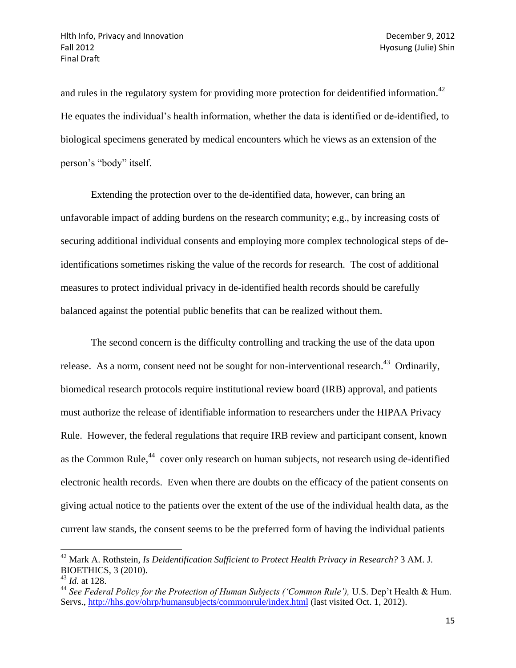and rules in the regulatory system for providing more protection for deidentified information.<sup>42</sup> He equates the individual's health information, whether the data is identified or de-identified, to biological specimens generated by medical encounters which he views as an extension of the person's "body" itself.

Extending the protection over to the de-identified data, however, can bring an unfavorable impact of adding burdens on the research community; e.g., by increasing costs of securing additional individual consents and employing more complex technological steps of deidentifications sometimes risking the value of the records for research. The cost of additional measures to protect individual privacy in de-identified health records should be carefully balanced against the potential public benefits that can be realized without them.

The second concern is the difficulty controlling and tracking the use of the data upon release. As a norm, consent need not be sought for non-interventional research.<sup>43</sup> Ordinarily, biomedical research protocols require institutional review board (IRB) approval, and patients must authorize the release of identifiable information to researchers under the HIPAA Privacy Rule. However, the federal regulations that require IRB review and participant consent, known as the Common Rule,<sup>44</sup> cover only research on human subjects, not research using de-identified electronic health records. Even when there are doubts on the efficacy of the patient consents on giving actual notice to the patients over the extent of the use of the individual health data, as the current law stands, the consent seems to be the preferred form of having the individual patients

<sup>42</sup> Mark A. Rothstein, *Is Deidentification Sufficient to Protect Health Privacy in Research?* 3 AM. J. BIOETHICS, 3 (2010).

<sup>43</sup> *Id.* at 128.

<sup>&</sup>lt;sup>44</sup> See Federal Policy for the Protection of Human Subjects ('Common Rule'), U.S. Dep't Health & Hum. Servs.,<http://hhs.gov/ohrp/humansubjects/commonrule/index.html> (last visited Oct. 1, 2012).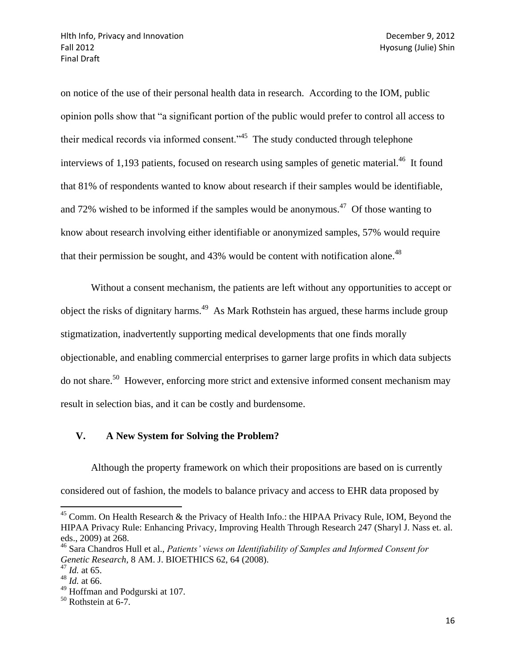on notice of the use of their personal health data in research. According to the IOM, public opinion polls show that "a significant portion of the public would prefer to control all access to their medical records via informed consent.<sup>345</sup> The study conducted through telephone interviews of 1,193 patients, focused on research using samples of genetic material.<sup>46</sup> It found that 81% of respondents wanted to know about research if their samples would be identifiable, and 72% wished to be informed if the samples would be anonymous.<sup>47</sup> Of those wanting to know about research involving either identifiable or anonymized samples, 57% would require that their permission be sought, and  $43\%$  would be content with notification alone.<sup>48</sup>

Without a consent mechanism, the patients are left without any opportunities to accept or object the risks of dignitary harms.<sup>49</sup> As Mark Rothstein has argued, these harms include group stigmatization, inadvertently supporting medical developments that one finds morally objectionable, and enabling commercial enterprises to garner large profits in which data subjects do not share.<sup>50</sup> However, enforcing more strict and extensive informed consent mechanism may result in selection bias, and it can be costly and burdensome.

# **V. A New System for Solving the Problem?**

Although the property framework on which their propositions are based on is currently considered out of fashion, the models to balance privacy and access to EHR data proposed by

<sup>&</sup>lt;sup>45</sup> Comm. On Health Research & the Privacy of Health Info.: the HIPAA Privacy Rule, IOM, Beyond the HIPAA Privacy Rule: Enhancing Privacy, Improving Health Through Research 247 (Sharyl J. Nass et. al. eds., 2009) at 268.

<sup>46</sup> Sara Chandros Hull et al., *Patients' views on Identifiability of Samples and Informed Consent for Genetic Research,* 8 AM. J. BIOETHICS 62, 64 (2008).

<sup>47</sup> *Id.* at 65.

<sup>48</sup> *Id.* at 66.

<sup>&</sup>lt;sup>49</sup> Hoffman and Podgurski at 107.

 $50$  Rothstein at 6-7.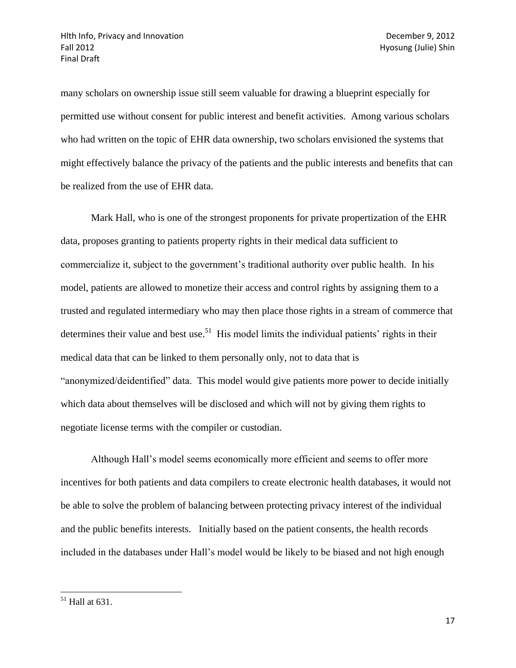many scholars on ownership issue still seem valuable for drawing a blueprint especially for permitted use without consent for public interest and benefit activities. Among various scholars who had written on the topic of EHR data ownership, two scholars envisioned the systems that might effectively balance the privacy of the patients and the public interests and benefits that can be realized from the use of EHR data.

Mark Hall, who is one of the strongest proponents for private propertization of the EHR data, proposes granting to patients property rights in their medical data sufficient to commercialize it, subject to the government's traditional authority over public health. In his model, patients are allowed to monetize their access and control rights by assigning them to a trusted and regulated intermediary who may then place those rights in a stream of commerce that determines their value and best use.<sup>51</sup> His model limits the individual patients' rights in their medical data that can be linked to them personally only, not to data that is "anonymized/deidentified" data. This model would give patients more power to decide initially which data about themselves will be disclosed and which will not by giving them rights to negotiate license terms with the compiler or custodian.

Although Hall's model seems economically more efficient and seems to offer more incentives for both patients and data compilers to create electronic health databases, it would not be able to solve the problem of balancing between protecting privacy interest of the individual and the public benefits interests. Initially based on the patient consents, the health records included in the databases under Hall's model would be likely to be biased and not high enough

 $51$  Hall at 631.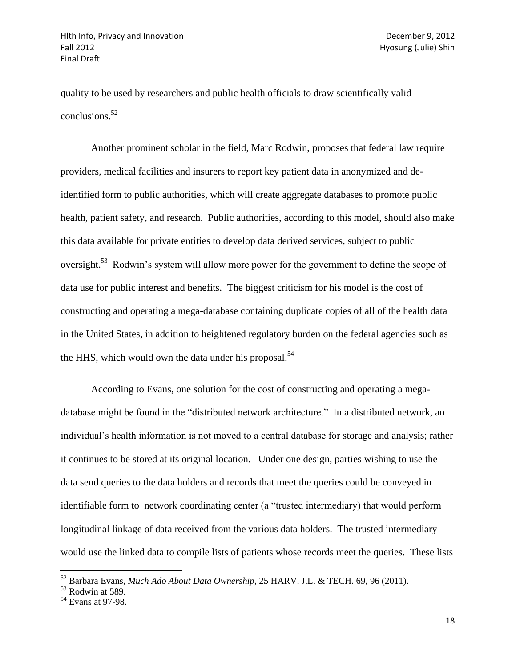quality to be used by researchers and public health officials to draw scientifically valid conclusions.<sup>52</sup>

Another prominent scholar in the field, Marc Rodwin, proposes that federal law require providers, medical facilities and insurers to report key patient data in anonymized and deidentified form to public authorities, which will create aggregate databases to promote public health, patient safety, and research. Public authorities, according to this model, should also make this data available for private entities to develop data derived services, subject to public oversight.<sup>53</sup> Rodwin's system will allow more power for the government to define the scope of data use for public interest and benefits. The biggest criticism for his model is the cost of constructing and operating a mega-database containing duplicate copies of all of the health data in the United States, in addition to heightened regulatory burden on the federal agencies such as the HHS, which would own the data under his proposal.<sup>54</sup>

According to Evans, one solution for the cost of constructing and operating a megadatabase might be found in the "distributed network architecture." In a distributed network, an individual's health information is not moved to a central database for storage and analysis; rather it continues to be stored at its original location. Under one design, parties wishing to use the data send queries to the data holders and records that meet the queries could be conveyed in identifiable form to network coordinating center (a "trusted intermediary) that would perform longitudinal linkage of data received from the various data holders. The trusted intermediary would use the linked data to compile lists of patients whose records meet the queries. These lists

<sup>52</sup> Barbara Evans, *Much Ado About Data Ownership*, 25 HARV. J.L. & TECH. 69, 96 (2011).

 $53$  Rodwin at 589.

<sup>54</sup> Evans at 97-98.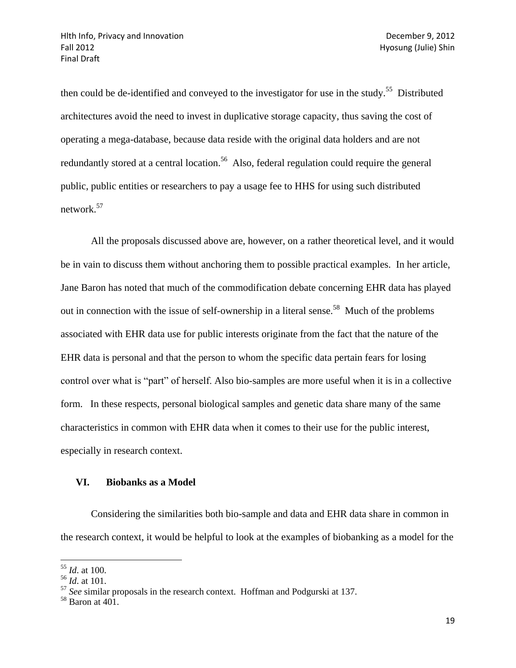then could be de-identified and conveyed to the investigator for use in the study.<sup>55</sup> Distributed architectures avoid the need to invest in duplicative storage capacity, thus saving the cost of operating a mega-database, because data reside with the original data holders and are not redundantly stored at a central location.<sup>56</sup> Also, federal regulation could require the general public, public entities or researchers to pay a usage fee to HHS for using such distributed network.<sup>57</sup>

All the proposals discussed above are, however, on a rather theoretical level, and it would be in vain to discuss them without anchoring them to possible practical examples. In her article, Jane Baron has noted that much of the commodification debate concerning EHR data has played out in connection with the issue of self-ownership in a literal sense.<sup>58</sup> Much of the problems associated with EHR data use for public interests originate from the fact that the nature of the EHR data is personal and that the person to whom the specific data pertain fears for losing control over what is "part" of herself. Also bio-samples are more useful when it is in a collective form. In these respects, personal biological samples and genetic data share many of the same characteristics in common with EHR data when it comes to their use for the public interest, especially in research context.

### **VI. Biobanks as a Model**

Considering the similarities both bio-sample and data and EHR data share in common in the research context, it would be helpful to look at the examples of biobanking as a model for the

 $\overline{\phantom{a}}$ <sup>55</sup> *Id*. at 100.

<sup>56</sup> *Id*. at 101.

<sup>57</sup> *See* similar proposals in the research context. Hoffman and Podgurski at 137.

<sup>58</sup> Baron at 401.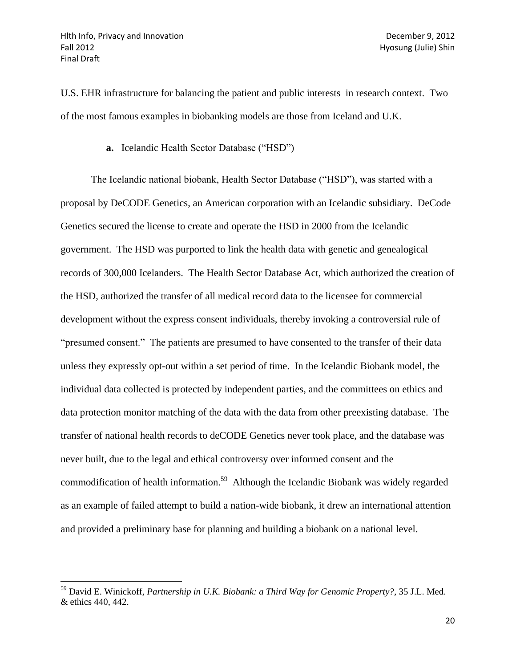$\overline{a}$ 

U.S. EHR infrastructure for balancing the patient and public interests in research context. Two of the most famous examples in biobanking models are those from Iceland and U.K.

**a.** Icelandic Health Sector Database ("HSD")

The Icelandic national biobank, Health Sector Database ("HSD"), was started with a proposal by DeCODE Genetics, an American corporation with an Icelandic subsidiary. DeCode Genetics secured the license to create and operate the HSD in 2000 from the Icelandic government. The HSD was purported to link the health data with genetic and genealogical records of 300,000 Icelanders. The Health Sector Database Act, which authorized the creation of the HSD, authorized the transfer of all medical record data to the licensee for commercial development without the express consent individuals, thereby invoking a controversial rule of "presumed consent." The patients are presumed to have consented to the transfer of their data unless they expressly opt-out within a set period of time. In the Icelandic Biobank model, the individual data collected is protected by independent parties, and the committees on ethics and data protection monitor matching of the data with the data from other preexisting database. The transfer of national health records to deCODE Genetics never took place, and the database was never built, due to the legal and ethical controversy over informed consent and the commodification of health information.<sup>59</sup> Although the Icelandic Biobank was widely regarded as an example of failed attempt to build a nation-wide biobank, it drew an international attention and provided a preliminary base for planning and building a biobank on a national level.

<sup>59</sup> David E. Winickoff, *Partnership in U.K. Biobank: a Third Way for Genomic Property?*, 35 J.L. Med. & ethics 440, 442.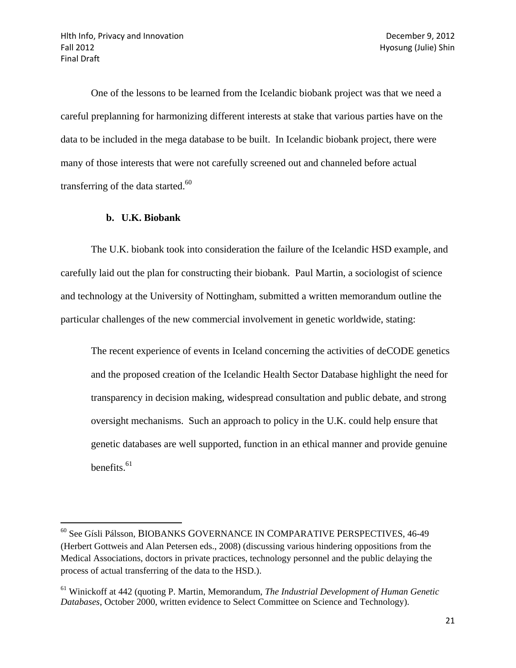One of the lessons to be learned from the Icelandic biobank project was that we need a careful preplanning for harmonizing different interests at stake that various parties have on the data to be included in the mega database to be built. In Icelandic biobank project, there were many of those interests that were not carefully screened out and channeled before actual transferring of the data started. $^{60}$ 

#### **b. U.K. Biobank**

 $\overline{\phantom{a}}$ 

The U.K. biobank took into consideration the failure of the Icelandic HSD example, and carefully laid out the plan for constructing their biobank. Paul Martin, a sociologist of science and technology at the University of Nottingham, submitted a written memorandum outline the particular challenges of the new commercial involvement in genetic worldwide, stating:

The recent experience of events in Iceland concerning the activities of deCODE genetics and the proposed creation of the Icelandic Health Sector Database highlight the need for transparency in decision making, widespread consultation and public debate, and strong oversight mechanisms. Such an approach to policy in the U.K. could help ensure that genetic databases are well supported, function in an ethical manner and provide genuine benefits. $61$ 

<sup>60</sup> See Gísli Pálsson, BIOBANKS GOVERNANCE IN COMPARATIVE PERSPECTIVES, 46-49 (Herbert Gottweis and Alan Petersen eds., 2008) (discussing various hindering oppositions from the Medical Associations, doctors in private practices, technology personnel and the public delaying the process of actual transferring of the data to the HSD.).

<sup>61</sup> Winickoff at 442 (quoting P. Martin, Memorandum, *The Industrial Development of Human Genetic Databases*, October 2000, written evidence to Select Committee on Science and Technology).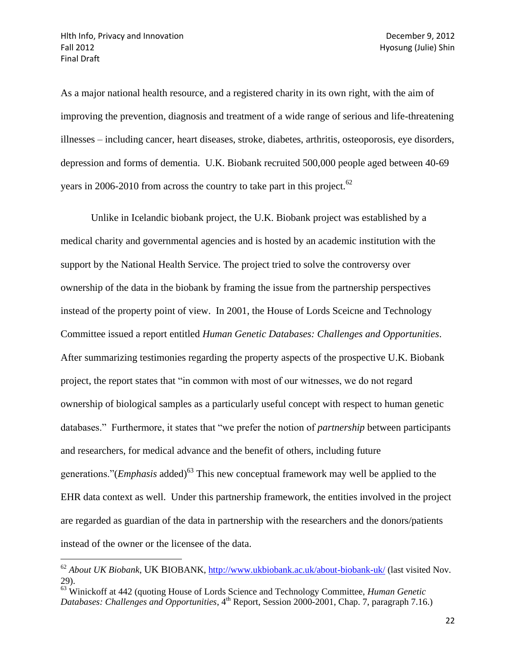$\overline{\phantom{a}}$ 

As a major national health resource, and a registered charity in its own right, with the aim of improving the prevention, diagnosis and treatment of a wide range of serious and life-threatening illnesses – including cancer, heart diseases, stroke, diabetes, arthritis, osteoporosis, eye disorders, depression and forms of dementia. U.K. Biobank recruited 500,000 people aged between 40-69 years in 2006-2010 from across the country to take part in this project.<sup>62</sup>

Unlike in Icelandic biobank project, the U.K. Biobank project was established by a medical charity and governmental agencies and is hosted by an academic institution with the support by the National Health Service. The project tried to solve the controversy over ownership of the data in the biobank by framing the issue from the partnership perspectives instead of the property point of view. In 2001, the House of Lords Sceicne and Technology Committee issued a report entitled *Human Genetic Databases: Challenges and Opportunities*. After summarizing testimonies regarding the property aspects of the prospective U.K. Biobank project, the report states that "in common with most of our witnesses, we do not regard ownership of biological samples as a particularly useful concept with respect to human genetic databases." Furthermore, it states that "we prefer the notion of *partnership* between participants and researchers, for medical advance and the benefit of others, including future generations."(*Emphasis* added) <sup>63</sup> This new conceptual framework may well be applied to the EHR data context as well. Under this partnership framework, the entities involved in the project are regarded as guardian of the data in partnership with the researchers and the donors/patients instead of the owner or the licensee of the data.

<sup>62</sup> *About UK Biobank*, UK BIOBANK,<http://www.ukbiobank.ac.uk/about-biobank-uk/> (last visited Nov. 29).

<sup>63</sup> Winickoff at 442 (quoting House of Lords Science and Technology Committee, *Human Genetic Databases: Challenges and Opportunities*, 4<sup>th</sup> Report, Session 2000-2001, Chap. 7, paragraph 7.16.)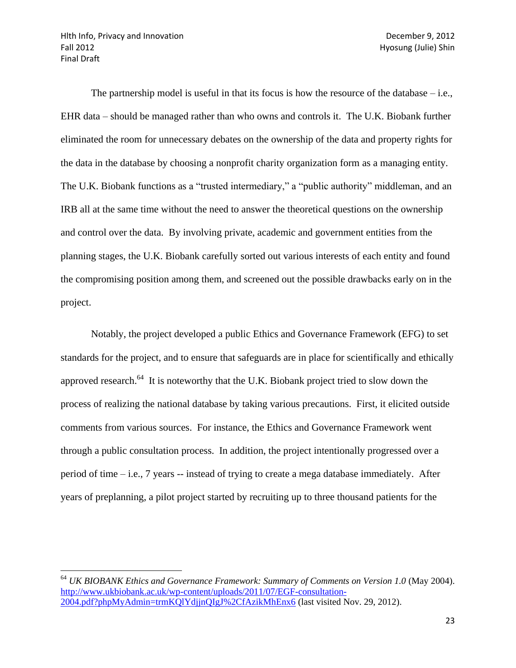The partnership model is useful in that its focus is how the resource of the database  $-i.e.,$ EHR data – should be managed rather than who owns and controls it. The U.K. Biobank further eliminated the room for unnecessary debates on the ownership of the data and property rights for the data in the database by choosing a nonprofit charity organization form as a managing entity. The U.K. Biobank functions as a "trusted intermediary," a "public authority" middleman, and an IRB all at the same time without the need to answer the theoretical questions on the ownership and control over the data. By involving private, academic and government entities from the planning stages, the U.K. Biobank carefully sorted out various interests of each entity and found the compromising position among them, and screened out the possible drawbacks early on in the project.

Notably, the project developed a public Ethics and Governance Framework (EFG) to set standards for the project, and to ensure that safeguards are in place for scientifically and ethically approved research. $^{64}$  It is noteworthy that the U.K. Biobank project tried to slow down the process of realizing the national database by taking various precautions. First, it elicited outside comments from various sources. For instance, the Ethics and Governance Framework went through a public consultation process. In addition, the project intentionally progressed over a period of time – i.e., 7 years -- instead of trying to create a mega database immediately. After years of preplanning, a pilot project started by recruiting up to three thousand patients for the

 $\overline{\phantom{a}}$ <sup>64</sup> *UK BIOBANK Ethics and Governance Framework: Summary of Comments on Version 1.0* (May 2004). [http://www.ukbiobank.ac.uk/wp-content/uploads/2011/07/EGF-consultation-](http://www.ukbiobank.ac.uk/wp-content/uploads/2011/07/EGF-consultation-2004.pdf?phpMyAdmin=trmKQlYdjjnQIgJ%2CfAzikMhEnx6)[2004.pdf?phpMyAdmin=trmKQlYdjjnQIgJ%2CfAzikMhEnx6](http://www.ukbiobank.ac.uk/wp-content/uploads/2011/07/EGF-consultation-2004.pdf?phpMyAdmin=trmKQlYdjjnQIgJ%2CfAzikMhEnx6) (last visited Nov. 29, 2012).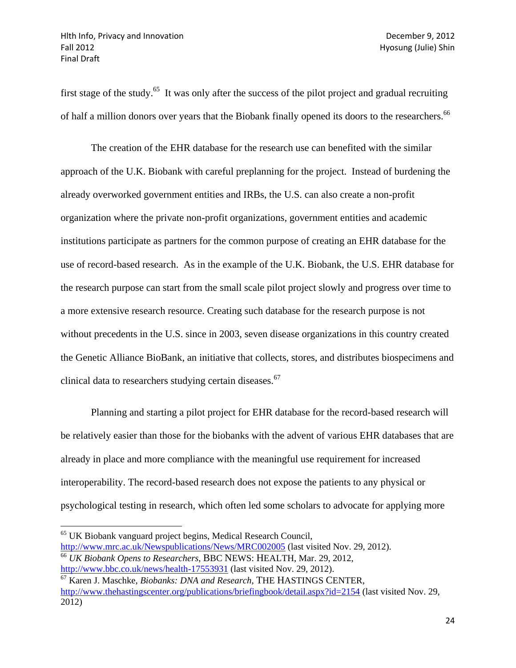$\overline{a}$ 

first stage of the study.<sup>65</sup> It was only after the success of the pilot project and gradual recruiting of half a million donors over years that the Biobank finally opened its doors to the researchers.<sup>66</sup>

The creation of the EHR database for the research use can benefited with the similar approach of the U.K. Biobank with careful preplanning for the project. Instead of burdening the already overworked government entities and IRBs, the U.S. can also create a non-profit organization where the private non-profit organizations, government entities and academic institutions participate as partners for the common purpose of creating an EHR database for the use of record-based research. As in the example of the U.K. Biobank, the U.S. EHR database for the research purpose can start from the small scale pilot project slowly and progress over time to a more extensive research resource. Creating such database for the research purpose is not without precedents in the U.S. since in 2003, seven disease organizations in this country created the Genetic Alliance BioBank, an initiative that collects, stores, and distributes biospecimens and clinical data to researchers studying certain diseases.<sup>67</sup>

Planning and starting a pilot project for EHR database for the record-based research will be relatively easier than those for the biobanks with the advent of various EHR databases that are already in place and more compliance with the meaningful use requirement for increased interoperability. The record-based research does not expose the patients to any physical or psychological testing in research, which often led some scholars to advocate for applying more

<sup>65</sup> UK Biobank vanguard project begins, Medical Research Council, <http://www.mrc.ac.uk/Newspublications/News/MRC002005> (last visited Nov. 29, 2012). <sup>66</sup> *UK Biobank Opens to Researchers*, BBC NEWS: HEALTH, Mar. 29, 2012, <http://www.bbc.co.uk/news/health-17553931> (last visited Nov. 29, 2012).

<sup>67</sup> Karen J. Maschke, *Biobanks: DNA and Research*, THE HASTINGS CENTER, <http://www.thehastingscenter.org/publications/briefingbook/detail.aspx?id=2154> (last visited Nov. 29, 2012)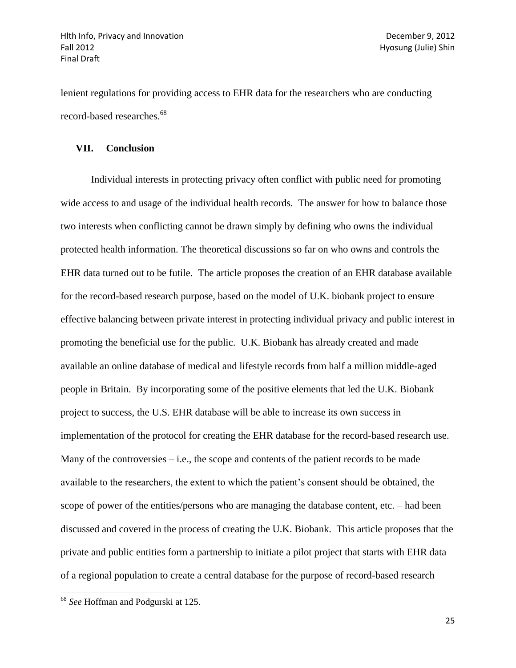lenient regulations for providing access to EHR data for the researchers who are conducting record-based researches.<sup>68</sup>

#### **VII. Conclusion**

Individual interests in protecting privacy often conflict with public need for promoting wide access to and usage of the individual health records. The answer for how to balance those two interests when conflicting cannot be drawn simply by defining who owns the individual protected health information. The theoretical discussions so far on who owns and controls the EHR data turned out to be futile. The article proposes the creation of an EHR database available for the record-based research purpose, based on the model of U.K. biobank project to ensure effective balancing between private interest in protecting individual privacy and public interest in promoting the beneficial use for the public. U.K. Biobank has already created and made available an online database of medical and lifestyle records from half a million middle-aged people in Britain. By incorporating some of the positive elements that led the U.K. Biobank project to success, the U.S. EHR database will be able to increase its own success in implementation of the protocol for creating the EHR database for the record-based research use. Many of the controversies  $-$  i.e., the scope and contents of the patient records to be made available to the researchers, the extent to which the patient's consent should be obtained, the scope of power of the entities/persons who are managing the database content, etc. – had been discussed and covered in the process of creating the U.K. Biobank. This article proposes that the private and public entities form a partnership to initiate a pilot project that starts with EHR data of a regional population to create a central database for the purpose of record-based research

<sup>68</sup> *See* Hoffman and Podgurski at 125.